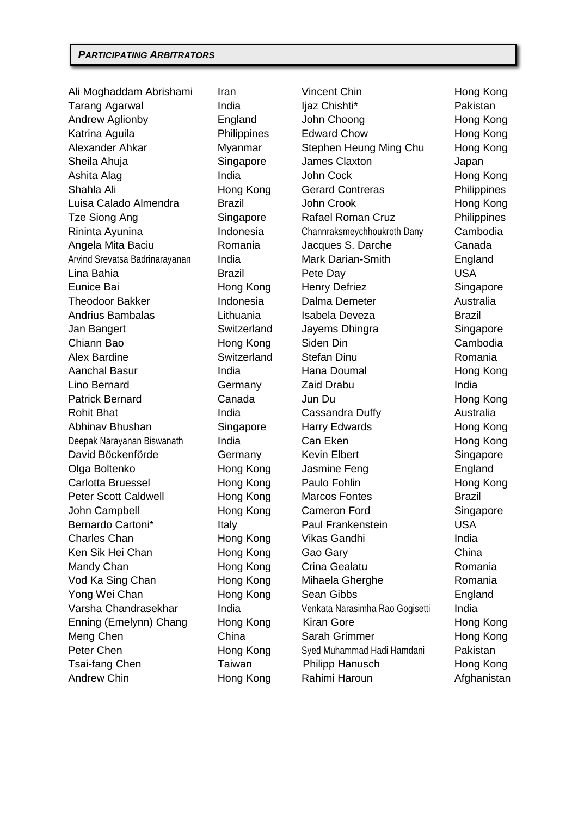Ali Moghaddam Abrishami Iran  $\vert$  Vincent Chin North Hong Kong Tarang Agarwal India III liaz Chishti\* Pakistan Andrew Aglionby **England** John Choong **Hong Kong** Katrina Aguila **Philippines | Edward Chow** Hong Kong Alexander Ahkar Myanmar | Stephen Heung Ming Chu Hong Kong Sheila Ahuja **Singapore Singapore Sheila Ahuja** Japan Ashita Alag India India  $\vert$  John Cock Hong Kong Shahla Ali **Hong Kong | Gerard Contreras** Philippines Luisa Calado Almendra Brazil John Crook Hong Kong Tze Siong Ang Singapore | Rafael Roman Cruz Philippines Rininta Ayunina Indonesia Channraksmeychhoukroth Dany Cambodia Angela Mita Baciu **Romania | Jacques S. Darche** Canada Arvind Srevatsa Badrinarayanan India | Mark Darian-Smith England Lina Bahia Brazil Pete Day USA Eunice Bai **Hong Kong Henry Defriez** Singapore Theodoor Bakker **Indonesia** Dalma Demeter **Australia** Andrius Bambalas Lithuania Isabela Deveza Brazil Jan Bangert Switzerland Jayems Dhingra Singapore Chiann Bao **Hong Kong | Siden Din** Cambodia Alex Bardine **Switzerland Stefan Dinu** Romania Aanchal Basur **India** | Hana Doumal Hong Kong Lino Bernard **Germany Caid Drabu India** Patrick Bernard Canada Jun Du Hong Kong Rohit Bhat **India** India **Cassandra Duffy** Australia Abhinav Bhushan Singapore Harry Edwards Hong Kong Deepak Narayanan Biswanath India  $\vert$  Can Eken Hong Kong Kong David Böckenförde Germany Kevin Elbert Singapore Olga Boltenko Hong Kong | Jasmine Feng England Carlotta Bruessel **Hong Kong | Paulo Fohlin** Paulo Hong Kong Peter Scott Caldwell **Hong Kong | Marcos Fontes** Brazil John Campbell **Hong Kong | Cameron Ford** Singapore Bernardo Cartoni\* The Italy The Paul Frankenstein USA Charles Chan **Hong Kong | Vikas Gandhi** India Ken Sik Hei Chan **Hong Kong | Gao Gary** China Mandy Chan **Hong Kong | Crina Gealatu** Romania Vod Ka Sing Chan **Hong Kong | Mihaela Gherghe** Romania Yong Wei Chan **Hong Kong | Sean Gibbs** England Varsha Chandrasekhar India Venkata Narasimha Rao Gogisetti India Enning (Emelynn) Chang Hong Kong | Kiran Gore Hong Kong Kong Meng Chen China Sarah Grimmer Hong Kong Peter Chen **Frankling Kong | Syed Muhammad Hadi Hamdani** Pakistan Tsai-fang Chen Taiwan Philipp Hanusch Hong Kong Andrew Chin **Hong Kong | Rahimi Haroun** Afghanistan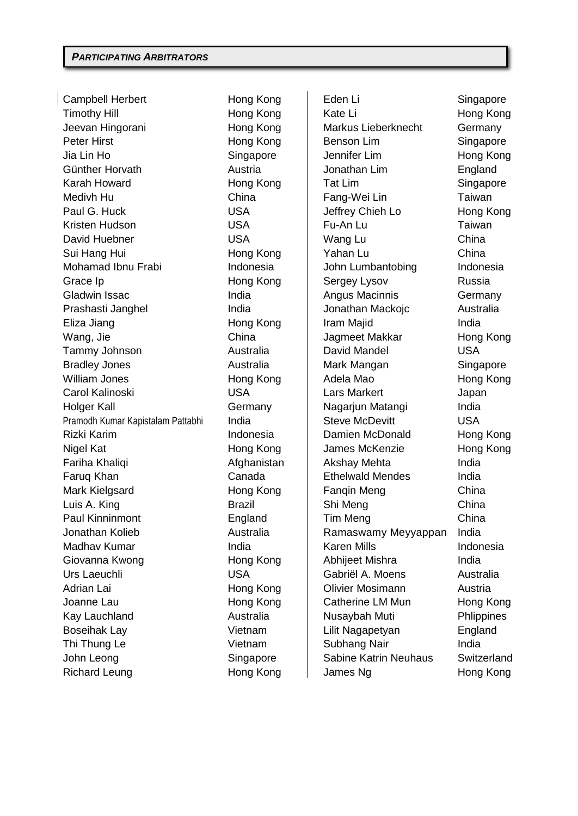Campbell Herbert Hong Kong | Eden Li Singapore Timothy Hill **Hong Kong** Kong Kate Li Hong Kong Kong Jeevan Hingorani Hong Kong Markus Lieberknecht Germany Peter Hirst **Hong Kong Lim Benson Lim** Singapore Jia Lin Ho **Singapore** Jennifer Lim **Hong Kong** Günther Horvath **Austria** Austria **Jonathan Lim** England Karah Howard **Hong Kong** Tat Lim Singapore Medivh Hu China | Fang-Wei Lin Taiwan Paul G. Huck **USA** USA Jeffrey Chieh Lo Hong Kong Kristen Hudson USA Fu-An Lu Taiwan David Huebner USA Wang Lu China Sui Hang Hui **Nome Kong Communist Hong Kong Communist Communist China** Mohamad Ibnu Frabi **Indonesia** | John Lumbantobing Indonesia Grace Ip **Hong Kong** Sergey Lysov Russia Gladwin Issac **India** India **India Macinnis** Germany Prashasti Janghel **India** India **India India India India India Australia** Australia Eliza Jiang **India Hong Kong India** Iram Majid **India** Wang, Jie **China** China **Jagmeet Makkar** Hong Kong Tammy Johnson Australia David Mandel USA Bradley Jones **Mark Mangan** Mark Mangan Mark Mangan Singapore William Jones **Hong Kong Hong Kong Adela Mao** Hong Kong Carol Kalinoski USA Lars Markert Japan Holger Kall **Germany** | Nagarjun Matangi India Pramodh Kumar Kapistalam Pattabhi India  $\parallel$  Steve McDevitt USA Rizki Karim **Indonesia** (Bamien McDonald Hong Kong Hong Kong Indonesia) Nigel Kat **Hong Kong Communishers** Hong Kong James McKenzie Hong Kong Fariha Khaliqi Afghanistan Akshay Mehta India Faruq Khan **Canada** Ethelwald Mendes India Mark Kielgsard **Hong Kong** Fanqin Meng China Luis A. King **Example 2. Communist Communist China** Brazil Shi Meng **China** Paul Kinninmont **England** Tim Meng China Jonathan Kolieb **Australia** | Ramaswamy Meyyappan India Madhav Kumar **India** India **India Mills** Karen Mills Indonesia Giovanna Kwong **Hong Kong** | Abhijeet Mishra India Urs Laeuchli USA Gabriël A. Moens Australia Adrian Lai **Hong Kong** | Olivier Mosimann Austria Joanne Lau Hong Kong Catherine LM Mun Hong Kong Kay Lauchland **Australia** Nusaybah Muti Phlippines Boseihak Lay **Vietnam** | Lilit Nagapetyan England Thi Thung Le **Subhang Nair** India John Leong Singapore | Sabine Katrin Neuhaus Switzerland Richard Leung **Hong Kong Claims** Hong Kong James Ng Hong Kong Hong Kong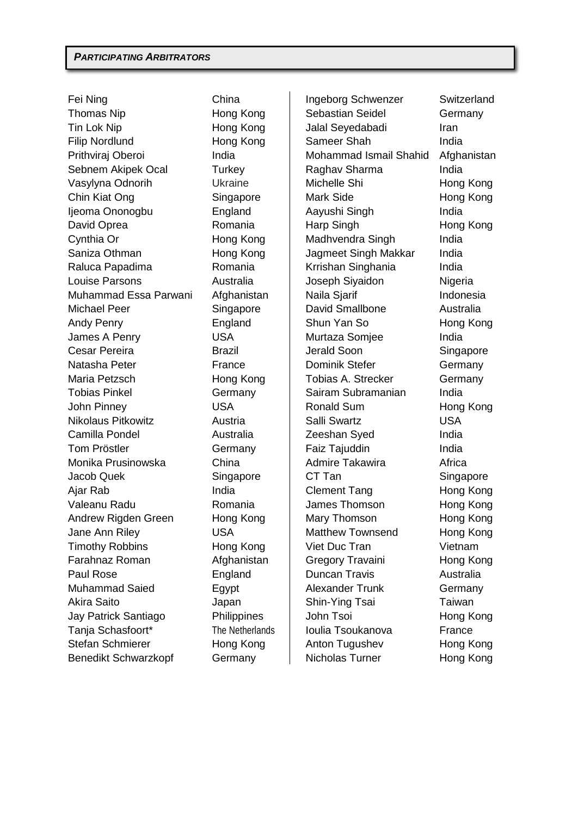Fei Ning China Ingeborg Schwenzer Switzerland Thomas Nip **Hong Kong** Sebastian Seidel Germany Tin Lok Nip **Hong Kong** Jalal Seyedabadi Iran Filip Nordlund Hong Kong | Sameer Shah India Prithviraj Oberoi **India** Mohammad Ismail Shahid Afghanistan Sebnem Akipek Ocal Turkey | Raghav Sharma India Vasylyna Odnorih Ukraine | Michelle Shi Hong Kong Chin Kiat Ong Singapore Nark Side Hong Kong Ijeoma Ononogbu England Aayushi Singh India David Oprea **Romania** Harp Singh Hong Kong Cynthia Or **Hong Kong** Madhvendra Singh India Saniza Othman **Hong Kong** Jagmeet Singh Makkar India Raluca Papadima **Romania India Krrishan Singhania** India Louise Parsons **Australia** | Joseph Siyaidon | Nigeria Muhammad Essa Parwani Afghanistan | Naila Siarif | Indonesia Michael Peer Singapore Bavid Smallbone Australia Andy Penry **England** Shun Yan So Hong Kong James A Penry USA Murtaza Somjee India Cesar Pereira **Brazil Cesar Pereira Brazil** Jerald Soon Singapore Natasha Peter **France** Network Stefer Germany Maria Petzsch **Hong Kong** | Tobias A. Strecker Germany Tobias Pinkel **Germany** Sairam Subramanian India John Pinney **Communist COVID USA** Ronald Sum Rong Kong Nikolaus Pitkowitz Austria Salli Swartz USA Camilla Pondel Australia Zeeshan Syed India Tom Pröstler **Germany** Faiz Tajuddin **India** Monika Prusinowska China Admire Takawira Africa Jacob Quek Singapore | CT Tan Singapore Ajar Rab India | Clement Tang Hong Kong Valeanu Radu Romania James Thomson Hong Kong Andrew Rigden Green Hong Kong | Mary Thomson Hong Kong Jane Ann Riley **National COV COV** Matthew Townsend Hong Kong Timothy Robbins Hong Kong Viet Duc Tran Vietnam Farahnaz Roman Afghanistan Gregory Travaini Hong Kong Paul Rose **England** Duncan Travis Australia Muhammad Saied **Egypt** Alexander Trunk Germany Akira Saito Japan | Shin-Ying Tsai Taiwan Jay Patrick Santiago **Philippines** | John Tsoi **Hong Kong** Tanja Schasfoort\* The Netherlands | Ioulia Tsoukanova France Stefan Schmierer **Hong Kong** Anton Tugushev Hong Kong Benedikt Schwarzkopf Germany | Nicholas Turner Hong Kong